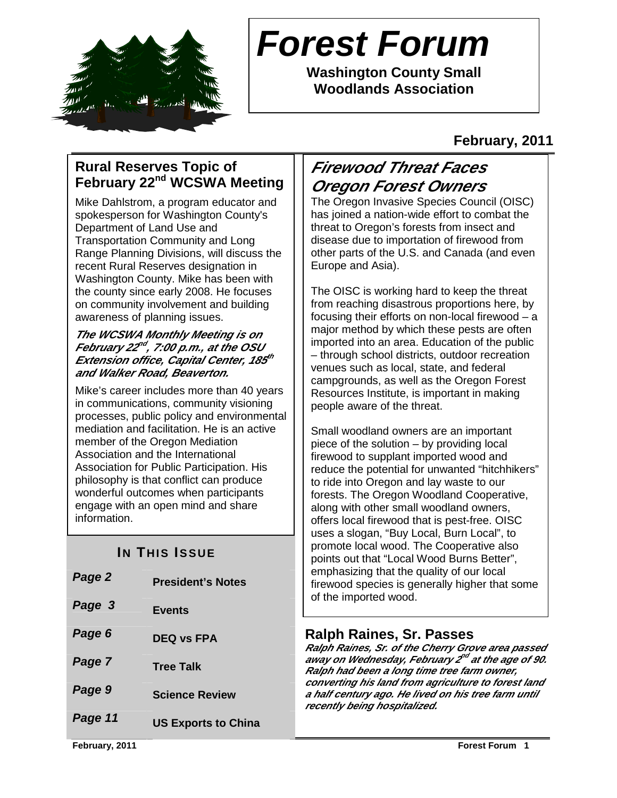

# **Forest Forum**

**Washington County Small Woodlands Association** 

### **February, 2011**

### **Rural Reserves Topic of February 22nd WCSWA Meeting**

Mike Dahlstrom, a program educator and spokesperson for Washington County's Department of Land Use and Transportation Community and Long Range Planning Divisions, will discuss the recent Rural Reserves designation in Washington County. Mike has been with the county since early 2008. He focuses on community involvement and building awareness of planning issues.

#### **The WCSWA Monthly Meeting is on February 22 nd , 7:00 p.m., at the OSU Extension office, Capital Center, 185 th and Walker Road, Beaverton.**

Mike's career includes more than 40 years in communications, community visioning processes, public policy and environmental mediation and facilitation. He is an active member of the Oregon Mediation Association and the International Association for Public Participation. His philosophy is that conflict can produce wonderful outcomes when participants engage with an open mind and share information.

### **IN THIS ISSUE**

| Page 2  | <b>President's Notes</b>   |
|---------|----------------------------|
| Page 3  | <b>Events</b>              |
| Page 6  | <b>DEQ vs FPA</b>          |
| Page 7  | <b>Tree Talk</b>           |
| Page 9  | <b>Science Review</b>      |
| Page 11 | <b>US Exports to China</b> |

### **Firewood Threat Faces Oregon Forest Owners**

The Oregon Invasive Species Council (OISC) has joined a nation-wide effort to combat the threat to Oregon's forests from insect and disease due to importation of firewood from other parts of the U.S. and Canada (and even Europe and Asia).

The OISC is working hard to keep the threat from reaching disastrous proportions here, by focusing their efforts on non-local firewood – a major method by which these pests are often imported into an area. Education of the public – through school districts, outdoor recreation venues such as local, state, and federal campgrounds, as well as the Oregon Forest Resources Institute, is important in making people aware of the threat.

**Notes from the President**  uses a slogan, "Buy Local, Burn Local", to **by Jim Brown**  promote local wood. The Cooperative also Small woodland owners are an important piece of the solution – by providing local firewood to supplant imported wood and reduce the potential for unwanted "hitchhikers" to ride into Oregon and lay waste to our forests. The Oregon Woodland Cooperative, along with other small woodland owners, offers local firewood that is pest-free. OISC points out that "Local Wood Burns Better", emphasizing that the quality of our local firewood species is generally higher that some of the imported wood.

### **Ralph Raines, Sr. Passes**

**Ralph Raines, Sr. of the Cherry Grove area passed**  away on Wednesday, February 2<sup>nd</sup> at the age of 90. **Ralph had been a long time tree farm owner, converting his land from agriculture to forest land a half century ago. He lived on his tree farm until recently being hospitalized.** 

.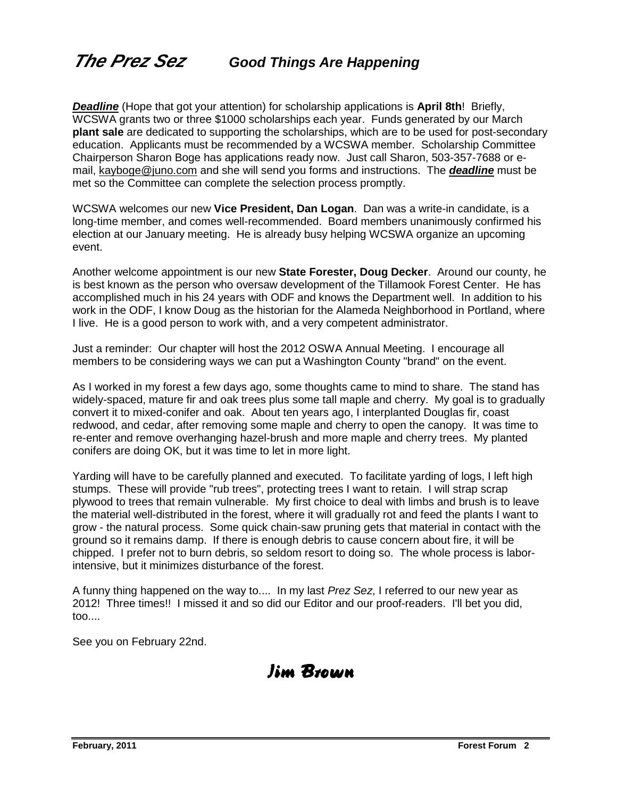**Deadline** (Hope that got your attention) for scholarship applications is **April 8th**! Briefly, WCSWA grants two or three \$1000 scholarships each year. Funds generated by our March **plant sale** are dedicated to supporting the scholarships, which are to be used for post-secondary education. Applicants must be recommended by a WCSWA member. Scholarship Committee Chairperson Sharon Boge has applications ready now. Just call Sharon, 503-357-7688 or email, kayboge@juno.com and she will send you forms and instructions. The **deadline** must be met so the Committee can complete the selection process promptly.

WCSWA welcomes our new **Vice President, Dan Logan**. Dan was a write-in candidate, is a long-time member, and comes well-recommended. Board members unanimously confirmed his election at our January meeting. He is already busy helping WCSWA organize an upcoming event.

Another welcome appointment is our new **State Forester, Doug Decker**. Around our county, he is best known as the person who oversaw development of the Tillamook Forest Center. He has accomplished much in his 24 years with ODF and knows the Department well. In addition to his work in the ODF, I know Doug as the historian for the Alameda Neighborhood in Portland, where I live. He is a good person to work with, and a very competent administrator.

Just a reminder: Our chapter will host the 2012 OSWA Annual Meeting. I encourage all members to be considering ways we can put a Washington County "brand" on the event.

As I worked in my forest a few days ago, some thoughts came to mind to share. The stand has widely-spaced, mature fir and oak trees plus some tall maple and cherry. My goal is to gradually convert it to mixed-conifer and oak. About ten years ago, I interplanted Douglas fir, coast redwood, and cedar, after removing some maple and cherry to open the canopy. It was time to re-enter and remove overhanging hazel-brush and more maple and cherry trees. My planted conifers are doing OK, but it was time to let in more light.

Yarding will have to be carefully planned and executed. To facilitate yarding of logs, I left high stumps. These will provide "rub trees", protecting trees I want to retain. I will strap scrap plywood to trees that remain vulnerable. My first choice to deal with limbs and brush is to leave the material well-distributed in the forest, where it will gradually rot and feed the plants I want to grow - the natural process. Some quick chain-saw pruning gets that material in contact with the ground so it remains damp. If there is enough debris to cause concern about fire, it will be chipped. I prefer not to burn debris, so seldom resort to doing so. The whole process is laborintensive, but it minimizes disturbance of the forest.

A funny thing happened on the way to.... In my last Prez Sez, I referred to our new year as 2012! Three times!! I missed it and so did our Editor and our proof-readers. I'll bet you did, too....

See you on February 22nd.

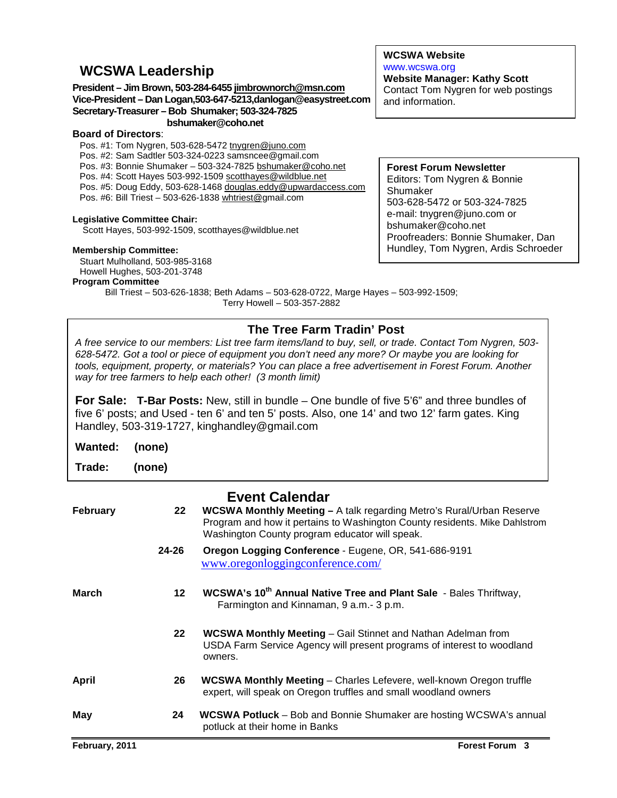### **WCSWA Leadership**

#### **President – Jim Brown, 503-284-6455 jimbrownorch@msn.com Vice-President – Dan Logan,503-647-5213,danlogan@easystreet.com Secretary-Treasurer – Bob Shumaker; 503-324-7825 bshumaker@coho.net**

#### **Board of Directors**:

Pos. #1: Tom Nygren, 503-628-5472 tnygren@juno.com Pos. #2: Sam Sadtler 503-324-0223 samsncee@gmail.com Pos. #3: Bonnie Shumaker – 503-324-7825 bshumaker@coho.net Pos. #4: Scott Hayes 503-992-1509 scotthayes@wildblue.net Pos. #5: Doug Eddy, 503-628-1468 douglas.eddy@upwardaccess.com Pos. #6: Bill Triest – 503-626-1838 whtriest@gmail.com

#### **Legislative Committee Chair:**

Scott Hayes, 503-992-1509, scotthayes@wildblue.net

#### **Membership Committee:**

Stuart Mulholland, 503-985-3168 Howell Hughes, 503-201-3748

#### **Program Committee**

Bill Triest – 503-626-1838; Beth Adams – 503-628-0722, Marge Hayes – 503-992-1509; Terry Howell – 503-357-2882

#### **The Tree Farm Tradin' Post**

A free service to our members: List tree farm items/land to buy, sell, or trade. Contact Tom Nygren, 503- 628-5472. Got a tool or piece of equipment you don't need any more? Or maybe you are looking for tools, equipment, property, or materials? You can place a free advertisement in Forest Forum. Another way for tree farmers to help each other! (3 month limit)

**For Sale: T-Bar Posts:** New, still in bundle – One bundle of five 5'6" and three bundles of five 6' posts; and Used - ten 6' and ten 5' posts. Also, one 14' and two 12' farm gates. King Handley, 503-319-1727, kinghandley@gmail.com

**Wanted: (none)** 

**Trade: (none)** 

| 22 <sub>2</sub><br><b>February</b> |       | <b>Event Calendar</b><br><b>WCSWA Monthly Meeting - A talk regarding Metro's Rural/Urban Reserve</b><br>Program and how it pertains to Washington County residents. Mike Dahlstrom<br>Washington County program educator will speak. |  |
|------------------------------------|-------|--------------------------------------------------------------------------------------------------------------------------------------------------------------------------------------------------------------------------------------|--|
|                                    | 24-26 | Oregon Logging Conference - Eugene, OR, 541-686-9191<br>www.oregonloggingconference.com/                                                                                                                                             |  |
| $12 \,$<br><b>March</b>            |       | WCSWA's 10 <sup>th</sup> Annual Native Tree and Plant Sale - Bales Thriftway,<br>Farmington and Kinnaman, 9 a.m. - 3 p.m.                                                                                                            |  |
|                                    | 22    | <b>WCSWA Monthly Meeting - Gail Stinnet and Nathan Adelman from</b><br>USDA Farm Service Agency will present programs of interest to woodland<br>owners.                                                                             |  |
| April                              | 26    | <b>WCSWA Monthly Meeting</b> – Charles Lefevere, well-known Oregon truffle<br>expert, will speak on Oregon truffles and small woodland owners                                                                                        |  |
| May                                | 24    | WCSWA Potluck - Bob and Bonnie Shumaker are hosting WCSWA's annual<br>potluck at their home in Banks                                                                                                                                 |  |

#### **WCSWA Website** www.wcswa.org **Website Manager: Kathy Scott**

Contact Tom Nygren for web postings and information.

**Forest Forum Newsletter** Editors: Tom Nygren & Bonnie Shumaker 503-628-5472 or 503-324-7825 e-mail: tnygren@juno.com or bshumaker@coho.net Proofreaders: Bonnie Shumaker, Dan Hundley, Tom Nygren, Ardis Schroeder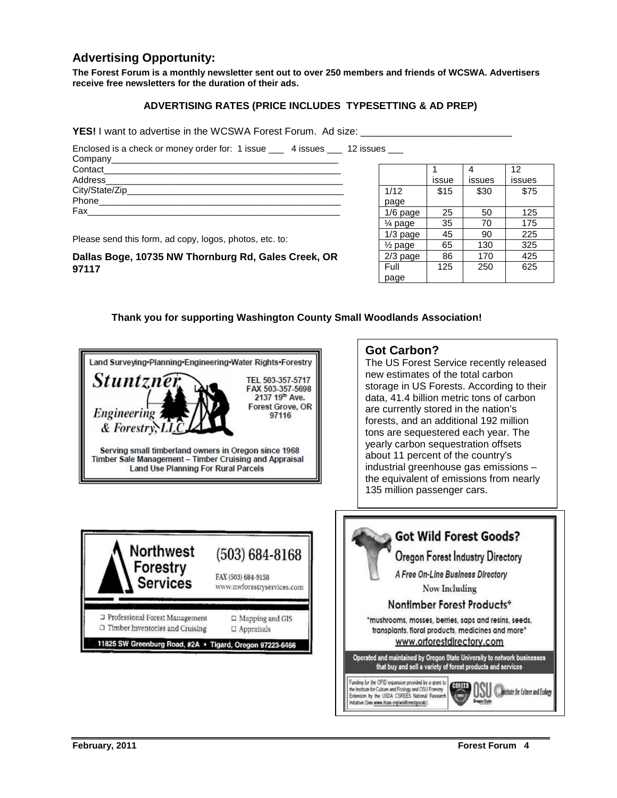#### **Advertising Opportunity:**

**The Forest Forum is a monthly newsletter sent out to over 250 members and friends of WCSWA. Advertisers receive free newsletters for the duration of their ads.** 

#### **ADVERTISING RATES (PRICE INCLUDES TYPESETTING & AD PREP)**

**YES!** I want to advertise in the WCSWA Forest Forum. Ad size:

Enclosed is a check or money order for: 1 issue \_\_\_ 4 issues \_\_\_ 12 issues \_\_\_

| Company___________ |  |
|--------------------|--|
| Contact            |  |
| Address            |  |
| City/State/Zip_    |  |
| Phone              |  |
| Fax                |  |
|                    |  |

Please send this form, ad copy, logos, photos, etc. to:

**Dallas Boge, 10735 NW Thornburg Rd, Gales Creek, OR 97117** 

|                    |       |        | 12     |
|--------------------|-------|--------|--------|
|                    | issue | issues | issues |
| 1/12               | \$15  | \$30   | \$75   |
| page               |       |        |        |
| $1/6$ page         | 25    | 50     | 125    |
| 1⁄4 page           | 35    | 70     | 175    |
| $1/3$ page         | 45    | 90     | 225    |
| $\frac{1}{2}$ page | 65    | 130    | 325    |
| 2/3 page           | 86    | 170    | 425    |
| Full               | 125   | 250    | 625    |
| page               |       |        |        |

#### **Thank you for supporting Washington County Small Woodlands Association!**



#### **Got Carbon?**

The US Forest Service recently released new estimates of the total carbon storage in US Forests. According to their data, 41.4 billion metric tons of carbon are currently stored in the nation's forests, and an additional 192 million tons are sequestered each year. The yearly carbon sequestration offsets about 11 percent of the country's industrial greenhouse gas emissions – the equivalent of emissions from nearly 135 million passenger cars.



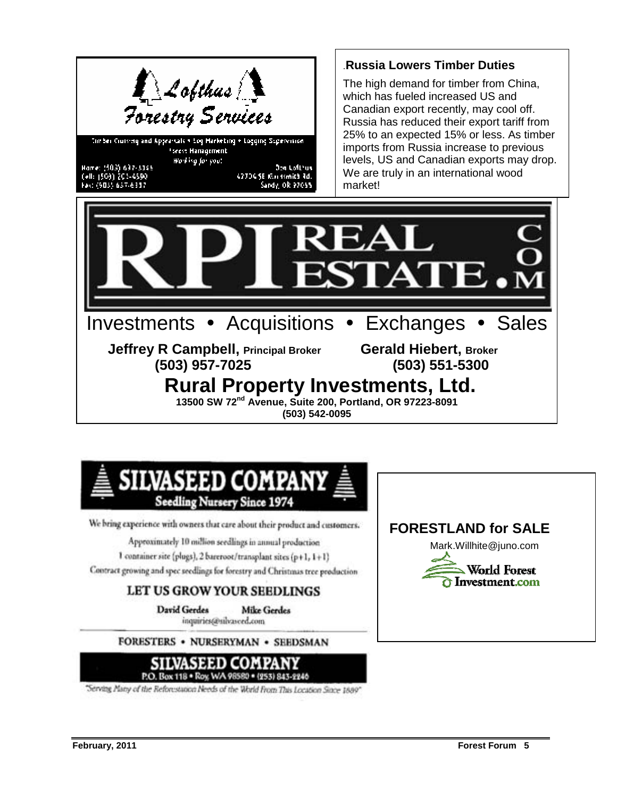

Incher Cruising and Appraisals + Log Marketing + Logging Supervision **Isrest Hanagement** Working for you!

Hame: (503) 697-3145 (ell: (503) 205-4590<br>Fac: (503) 637-6337

Don Colthus 42704.58 Kinishmith Rd.<br>Sandy, Ok.97055

#### .**Russia Lowers Timber Duties**

The high demand for timber from China, which has fueled increased US and Canadian export recently, may cool off. Russia has reduced their export tariff from 25% to an expected 15% or less. As timber imports from Russia increase to previous levels, US and Canadian exports may drop. We are truly in an international wood market!





We bring experience with owners that care about their product and customers.

Approximately 10 million seedlings in annual production

1 container site (plugs), 2 bareroot/transplant sites (p+1, 1+1)

Contract growing and spec seedlings for forestry and Christmas tree production

### LET US GROW YOUR SEEDLINGS

David Gerdes **Mike Gerdes** inquiries@silvasced.com

FORESTERS . NURSERYMAN . SEEDSMAN



"Serving Many of the Reforestation Needs of the World From This Location Since 1689"

### **FORESTLAND for SALE**

Mark.Willhite@juno.com

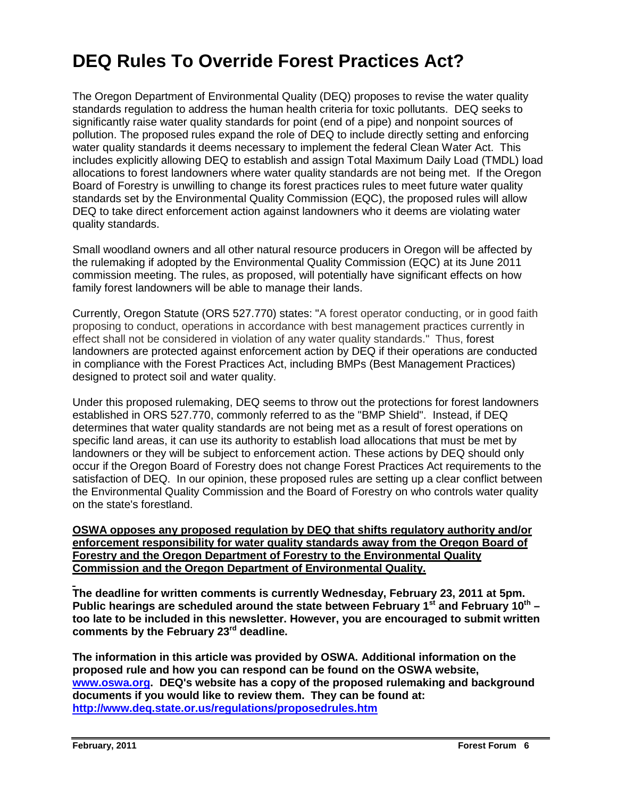### **DEQ Rules To Override Forest Practices Act?**

The Oregon Department of Environmental Quality (DEQ) proposes to revise the water quality standards regulation to address the human health criteria for toxic pollutants. DEQ seeks to significantly raise water quality standards for point (end of a pipe) and nonpoint sources of pollution. The proposed rules expand the role of DEQ to include directly setting and enforcing water quality standards it deems necessary to implement the federal Clean Water Act. This includes explicitly allowing DEQ to establish and assign Total Maximum Daily Load (TMDL) load allocations to forest landowners where water quality standards are not being met. If the Oregon Board of Forestry is unwilling to change its forest practices rules to meet future water quality standards set by the Environmental Quality Commission (EQC), the proposed rules will allow DEQ to take direct enforcement action against landowners who it deems are violating water quality standards.

Small woodland owners and all other natural resource producers in Oregon will be affected by the rulemaking if adopted by the Environmental Quality Commission (EQC) at its June 2011 commission meeting. The rules, as proposed, will potentially have significant effects on how family forest landowners will be able to manage their lands.

Currently, Oregon Statute (ORS 527.770) states: "A forest operator conducting, or in good faith proposing to conduct, operations in accordance with best management practices currently in effect shall not be considered in violation of any water quality standards." Thus, forest landowners are protected against enforcement action by DEQ if their operations are conducted in compliance with the Forest Practices Act, including BMPs (Best Management Practices) designed to protect soil and water quality.

Under this proposed rulemaking, DEQ seems to throw out the protections for forest landowners established in ORS 527.770, commonly referred to as the "BMP Shield". Instead, if DEQ determines that water quality standards are not being met as a result of forest operations on specific land areas, it can use its authority to establish load allocations that must be met by landowners or they will be subject to enforcement action. These actions by DEQ should only occur if the Oregon Board of Forestry does not change Forest Practices Act requirements to the satisfaction of DEQ. In our opinion, these proposed rules are setting up a clear conflict between the Environmental Quality Commission and the Board of Forestry on who controls water quality on the state's forestland.

**OSWA opposes any proposed regulation by DEQ that shifts regulatory authority and/or enforcement responsibility for water quality standards away from the Oregon Board of Forestry and the Oregon Department of Forestry to the Environmental Quality Commission and the Oregon Department of Environmental Quality.** 

**The deadline for written comments is currently Wednesday, February 23, 2011 at 5pm. Public hearings are scheduled around the state between February 1st and February 10th – too late to be included in this newsletter. However, you are encouraged to submit written comments by the February 23rd deadline.** 

**The information in this article was provided by OSWA. Additional information on the proposed rule and how you can respond can be found on the OSWA website, www.oswa.org. DEQ's website has a copy of the proposed rulemaking and background documents if you would like to review them. They can be found at: http://www.deq.state.or.us/regulations/proposedrules.htm**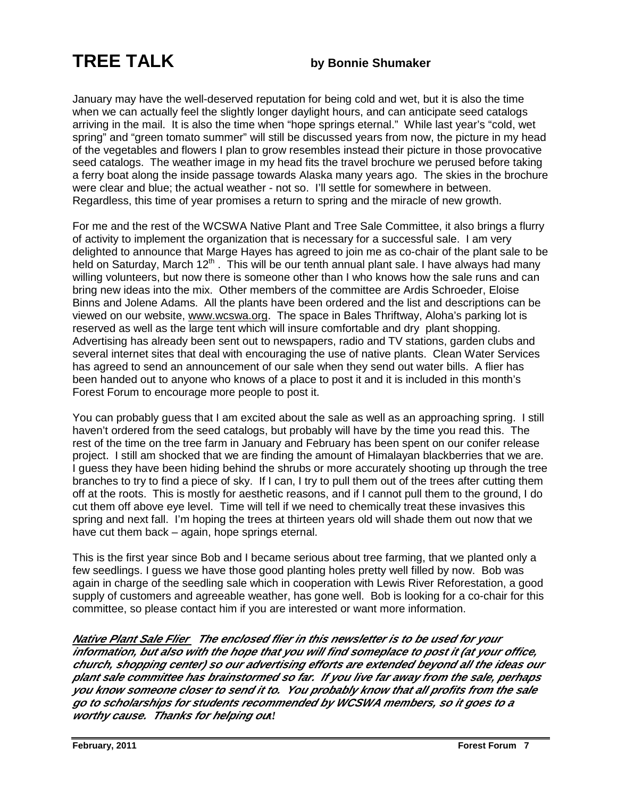## **TREE TALK by Bonnie Shumaker**

January may have the well-deserved reputation for being cold and wet, but it is also the time when we can actually feel the slightly longer daylight hours, and can anticipate seed catalogs arriving in the mail. It is also the time when "hope springs eternal." While last year's "cold, wet spring" and "green tomato summer" will still be discussed years from now, the picture in my head of the vegetables and flowers I plan to grow resembles instead their picture in those provocative seed catalogs. The weather image in my head fits the travel brochure we perused before taking a ferry boat along the inside passage towards Alaska many years ago. The skies in the brochure were clear and blue; the actual weather - not so. I'll settle for somewhere in between. Regardless, this time of year promises a return to spring and the miracle of new growth.

For me and the rest of the WCSWA Native Plant and Tree Sale Committee, it also brings a flurry of activity to implement the organization that is necessary for a successful sale. I am very delighted to announce that Marge Hayes has agreed to join me as co-chair of the plant sale to be held on Saturday, March 12<sup>th</sup>. This will be our tenth annual plant sale. I have always had many willing volunteers, but now there is someone other than I who knows how the sale runs and can bring new ideas into the mix. Other members of the committee are Ardis Schroeder, Eloise Binns and Jolene Adams. All the plants have been ordered and the list and descriptions can be viewed on our website, www.wcswa.org. The space in Bales Thriftway, Aloha's parking lot is reserved as well as the large tent which will insure comfortable and dry plant shopping. Advertising has already been sent out to newspapers, radio and TV stations, garden clubs and several internet sites that deal with encouraging the use of native plants. Clean Water Services has agreed to send an announcement of our sale when they send out water bills. A flier has been handed out to anyone who knows of a place to post it and it is included in this month's Forest Forum to encourage more people to post it.

You can probably guess that I am excited about the sale as well as an approaching spring. I still haven't ordered from the seed catalogs, but probably will have by the time you read this. The rest of the time on the tree farm in January and February has been spent on our conifer release project. I still am shocked that we are finding the amount of Himalayan blackberries that we are. I guess they have been hiding behind the shrubs or more accurately shooting up through the tree branches to try to find a piece of sky. If I can, I try to pull them out of the trees after cutting them off at the roots. This is mostly for aesthetic reasons, and if I cannot pull them to the ground, I do cut them off above eye level. Time will tell if we need to chemically treat these invasives this spring and next fall. I'm hoping the trees at thirteen years old will shade them out now that we have cut them back – again, hope springs eternal.

This is the first year since Bob and I became serious about tree farming, that we planted only a few seedlings. I guess we have those good planting holes pretty well filled by now. Bob was again in charge of the seedling sale which in cooperation with Lewis River Reforestation, a good supply of customers and agreeable weather, has gone well. Bob is looking for a co-chair for this committee, so please contact him if you are interested or want more information.

**Native Plant Sale Flier The enclosed flier in this newsletter is to be used for your information, but also with the hope that you will find someplace to post it (at your office, church, shopping center) so our advertising efforts are extended beyond all the ideas our plant sale committee has brainstormed so far. If you live far away from the sale, perhaps you know someone closer to send it to. You probably know that all profits from the sale go to scholarships for students recommended by WCSWA members, so it goes to a worthy cause. Thanks for helping ou***t!*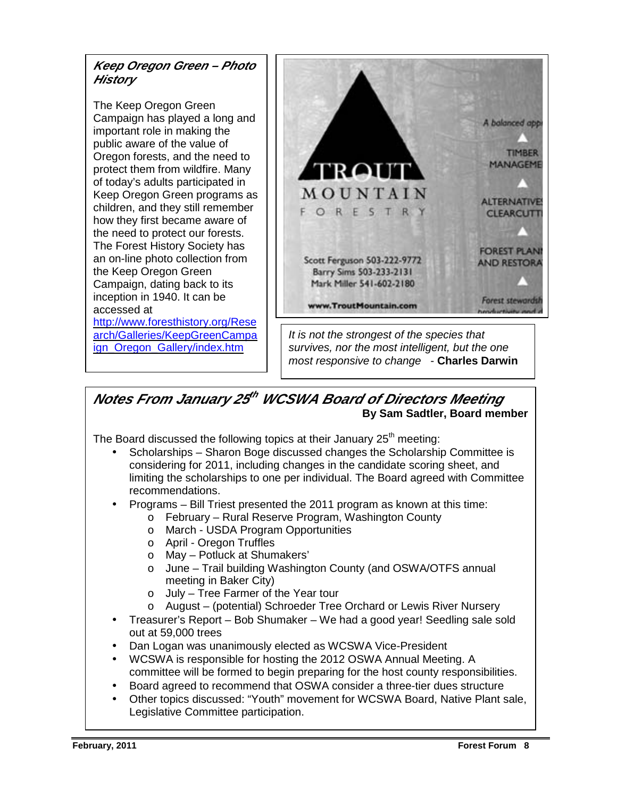

#### **Notes From January 25 th WCSWA Board of Directors Meeting By Sam Sadtler, Board member**

The Board discussed the following topics at their January 25<sup>th</sup> meeting:

- Scholarships Sharon Boge discussed changes the Scholarship Committee is considering for 2011, including changes in the candidate scoring sheet, and limiting the scholarships to one per individual. The Board agreed with Committee recommendations.
- Programs Bill Triest presented the 2011 program as known at this time:
	- o February Rural Reserve Program, Washington County
	- o March USDA Program Opportunities
	- o April Oregon Truffles
	- o May Potluck at Shumakers'
	- o June Trail building Washington County (and OSWA/OTFS annual meeting in Baker City)
	- o July Tree Farmer of the Year tour
	- o August (potential) Schroeder Tree Orchard or Lewis River Nursery
- Treasurer's Report Bob Shumaker We had a good year! Seedling sale sold out at 59,000 trees
- Dan Logan was unanimously elected as WCSWA Vice-President
- WCSWA is responsible for hosting the 2012 OSWA Annual Meeting. A committee will be formed to begin preparing for the host county responsibilities.
- Board agreed to recommend that OSWA consider a three-tier dues structure
- Other topics discussed: "Youth" movement for WCSWA Board, Native Plant sale, Legislative Committee participation.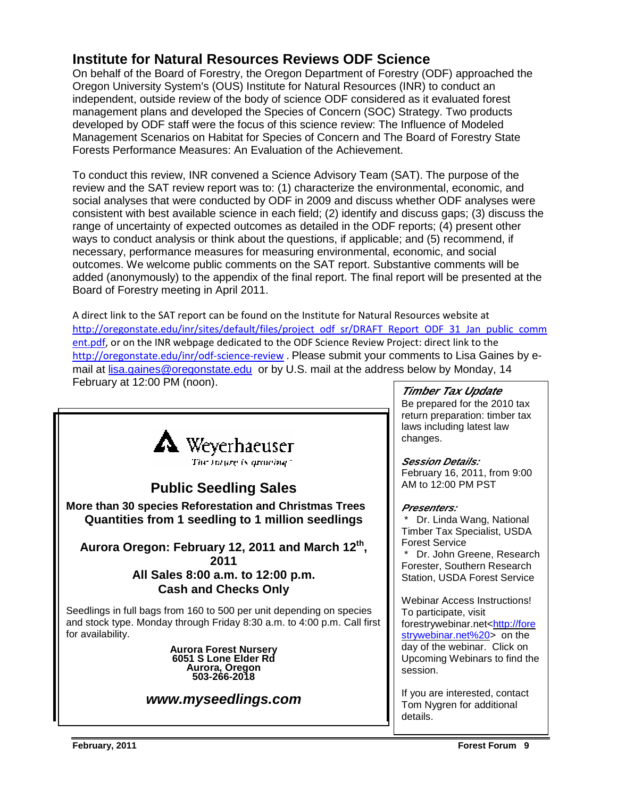### **Institute for Natural Resources Reviews ODF Science**

On behalf of the Board of Forestry, the Oregon Department of Forestry (ODF) approached the Oregon University System's (OUS) Institute for Natural Resources (INR) to conduct an independent, outside review of the body of science ODF considered as it evaluated forest management plans and developed the Species of Concern (SOC) Strategy. Two products developed by ODF staff were the focus of this science review: The Influence of Modeled Management Scenarios on Habitat for Species of Concern and The Board of Forestry State Forests Performance Measures: An Evaluation of the Achievement.

To conduct this review, INR convened a Science Advisory Team (SAT). The purpose of the review and the SAT review report was to: (1) characterize the environmental, economic, and social analyses that were conducted by ODF in 2009 and discuss whether ODF analyses were consistent with best available science in each field; (2) identify and discuss gaps; (3) discuss the range of uncertainty of expected outcomes as detailed in the ODF reports; (4) present other ways to conduct analysis or think about the questions, if applicable; and (5) recommend, if necessary, performance measures for measuring environmental, economic, and social outcomes. We welcome public comments on the SAT report. Substantive comments will be added (anonymously) to the appendix of the final report. The final report will be presented at the Board of Forestry meeting in April 2011.

A direct link to the SAT report can be found on the Institute for Natural Resources website at http://oregonstate.edu/inr/sites/default/files/project\_odf\_sr/DRAFT\_Report\_ODF\_31\_Jan\_public\_comm ent.pdf, or on the INR webpage dedicated to the ODF Science Review Project: direct link to the http://oregonstate.edu/inr/odf-science-review . Please submit your comments to Lisa Gaines by email at lisa.gaines@oregonstate.edu or by U.S. mail at the address below by Monday, 14 February at 12:00 PM (noon).



**Timber Tax Update** Be prepared for the 2010 tax return preparation: timber tax laws including latest law changes.

**Session Details:**  February 16, 2011, from 9:00 AM to 12:00 PM PST

#### **Presenters:**

Dr. Linda Wang, National Timber Tax Specialist, USDA Forest Service Dr. John Greene, Research Forester, Southern Research Station, USDA Forest Service

Webinar Access Instructions! To participate, visit forestrywebinar.net<http://fore strywebinar.net%20> on the day of the webinar. Click on Upcoming Webinars to find the session.

If you are interested, contact Tom Nygren for additional details.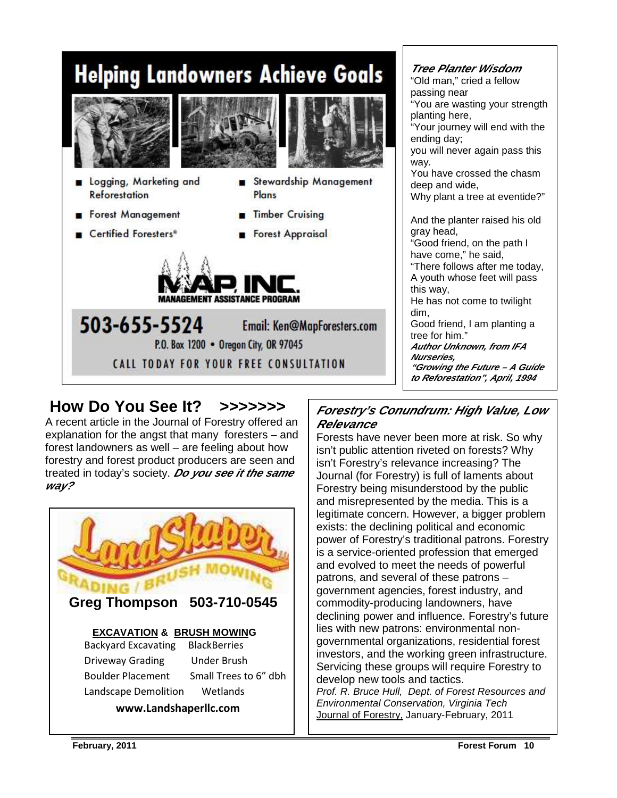

### **How Do You See It? >>>>>>>**

A recent article in the Journal of Forestry offered an explanation for the angst that many foresters – and forest landowners as well – are feeling about how forestry and forest product producers are seen and treated in today's society. **Do you see it the same way?** 



### **Forestry's Conundrum: High Value, Low Relevance**

Forests have never been more at risk. So why isn't public attention riveted on forests? Why isn't Forestry's relevance increasing? The Journal (for Forestry) is full of laments about Forestry being misunderstood by the public and misrepresented by the media. This is a legitimate concern. However, a bigger problem exists: the declining political and economic power of Forestry's traditional patrons. Forestry is a service-oriented profession that emerged and evolved to meet the needs of powerful patrons, and several of these patrons – government agencies, forest industry, and commodity-producing landowners, have declining power and influence. Forestry's future lies with new patrons: environmental nongovernmental organizations, residential forest investors, and the working green infrastructure. Servicing these groups will require Forestry to develop new tools and tactics. Prof. R. Bruce Hull, Dept. of Forest Resources and Environmental Conservation, Virginia Tech Journal of Forestry, January-February, 2011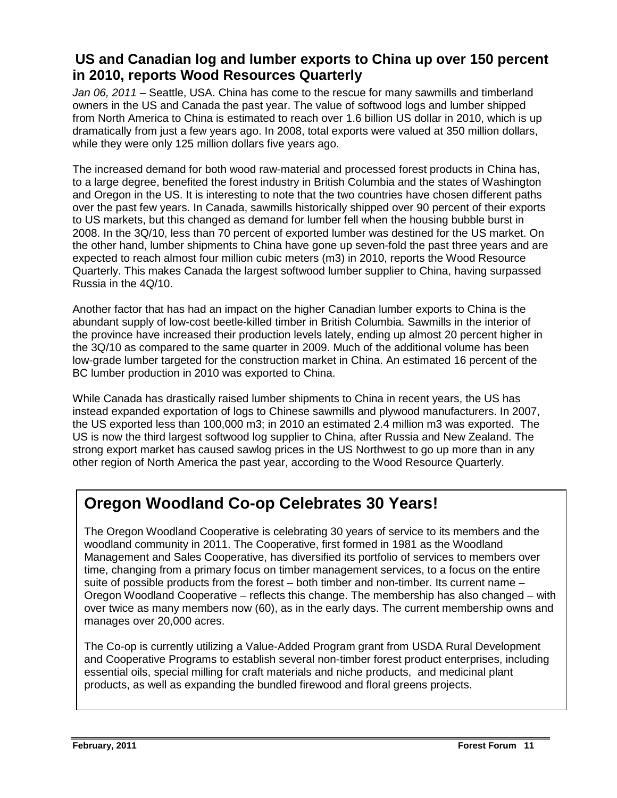### **US and Canadian log and lumber exports to China up over 150 percent in 2010, reports Wood Resources Quarterly**

Jan 06, 2011 – Seattle, USA. China has come to the rescue for many sawmills and timberland owners in the US and Canada the past year. The value of softwood logs and lumber shipped from North America to China is estimated to reach over 1.6 billion US dollar in 2010, which is up dramatically from just a few years ago. In 2008, total exports were valued at 350 million dollars, while they were only 125 million dollars five years ago.

The increased demand for both wood raw-material and processed forest products in China has, to a large degree, benefited the forest industry in British Columbia and the states of Washington and Oregon in the US. It is interesting to note that the two countries have chosen different paths over the past few years. In Canada, sawmills historically shipped over 90 percent of their exports to US markets, but this changed as demand for lumber fell when the housing bubble burst in 2008. In the 3Q/10, less than 70 percent of exported lumber was destined for the US market. On the other hand, lumber shipments to China have gone up seven-fold the past three years and are expected to reach almost four million cubic meters (m3) in 2010, reports the Wood Resource Quarterly. This makes Canada the largest softwood lumber supplier to China, having surpassed Russia in the 4Q/10.

Another factor that has had an impact on the higher Canadian lumber exports to China is the abundant supply of low-cost beetle-killed timber in British Columbia. Sawmills in the interior of the province have increased their production levels lately, ending up almost 20 percent higher in the 3Q/10 as compared to the same quarter in 2009. Much of the additional volume has been low-grade lumber targeted for the construction market in China. An estimated 16 percent of the BC lumber production in 2010 was exported to China.

While Canada has drastically raised lumber shipments to China in recent years, the US has instead expanded exportation of logs to Chinese sawmills and plywood manufacturers. In 2007, the US exported less than 100,000 m3; in 2010 an estimated 2.4 million m3 was exported. The US is now the third largest softwood log supplier to China, after Russia and New Zealand. The strong export market has caused sawlog prices in the US Northwest to go up more than in any other region of North America the past year, according to the Wood Resource Quarterly.

### **Oregon Woodland Co-op Celebrates 30 Years!**

The Oregon Woodland Cooperative is celebrating 30 years of service to its members and the woodland community in 2011. The Cooperative, first formed in 1981 as the Woodland Management and Sales Cooperative, has diversified its portfolio of services to members over time, changing from a primary focus on timber management services, to a focus on the entire suite of possible products from the forest – both timber and non-timber. Its current name – Oregon Woodland Cooperative – reflects this change. The membership has also changed – with over twice as many members now (60), as in the early days. The current membership owns and manages over 20,000 acres.

The Co-op is currently utilizing a Value-Added Program grant from USDA Rural Development and Cooperative Programs to establish several non-timber forest product enterprises, including essential oils, special milling for craft materials and niche products, and medicinal plant products, as well as expanding the bundled firewood and floral greens projects.